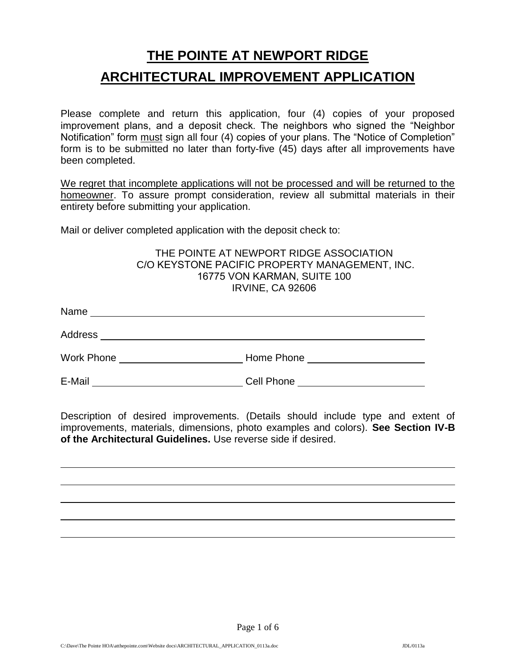# **THE POINTE AT NEWPORT RIDGE ARCHITECTURAL IMPROVEMENT APPLICATION**

Please complete and return this application, four (4) copies of your proposed improvement plans, and a deposit check. The neighbors who signed the "Neighbor Notification" form must sign all four (4) copies of your plans. The "Notice of Completion" form is to be submitted no later than forty-five (45) days after all improvements have been completed.

We regret that incomplete applications will not be processed and will be returned to the homeowner. To assure prompt consideration, review all submittal materials in their entirety before submitting your application.

Mail or deliver completed application with the deposit check to:

#### THE POINTE AT NEWPORT RIDGE ASSOCIATION C/O KEYSTONE PACIFIC PROPERTY MANAGEMENT, INC. 16775 VON KARMAN, SUITE 100 IRVINE, CA 92606

| Name              |            |
|-------------------|------------|
| Address           |            |
| <b>Work Phone</b> | Home Phone |
| E-Mail            | Cell Phone |

Description of desired improvements. (Details should include type and extent of improvements, materials, dimensions, photo examples and colors). **See Section IV-B of the Architectural Guidelines.** Use reverse side if desired.

Page 1 of 6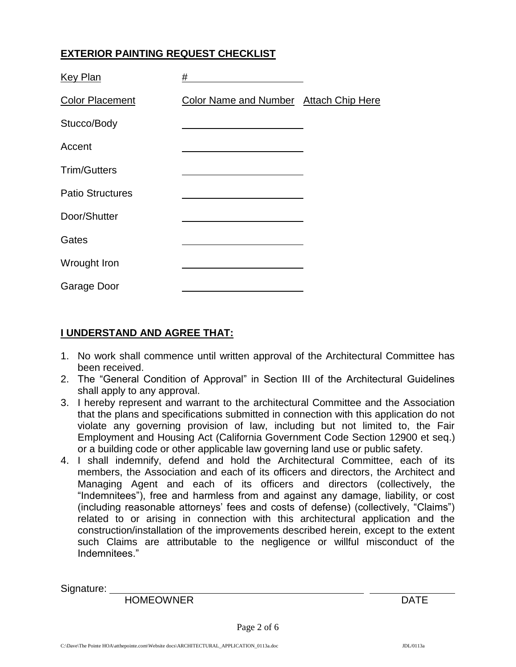## **EXTERIOR PAINTING REQUEST CHECKLIST**

| <b>Key Plan</b>         | #                                      |  |
|-------------------------|----------------------------------------|--|
| <b>Color Placement</b>  | Color Name and Number Attach Chip Here |  |
| Stucco/Body             |                                        |  |
| Accent                  |                                        |  |
| <b>Trim/Gutters</b>     |                                        |  |
| <b>Patio Structures</b> |                                        |  |
| Door/Shutter            |                                        |  |
| Gates                   |                                        |  |
| Wrought Iron            |                                        |  |
| Garage Door             |                                        |  |

## **I UNDERSTAND AND AGREE THAT:**

- 1. No work shall commence until written approval of the Architectural Committee has been received.
- 2. The "General Condition of Approval" in Section III of the Architectural Guidelines shall apply to any approval.
- 3. I hereby represent and warrant to the architectural Committee and the Association that the plans and specifications submitted in connection with this application do not violate any governing provision of law, including but not limited to, the Fair Employment and Housing Act (California Government Code Section 12900 et seq.) or a building code or other applicable law governing land use or public safety.
- 4. I shall indemnify, defend and hold the Architectural Committee, each of its members, the Association and each of its officers and directors, the Architect and Managing Agent and each of its officers and directors (collectively, the "Indemnitees"), free and harmless from and against any damage, liability, or cost (including reasonable attorneys' fees and costs of defense) (collectively, "Claims") related to or arising in connection with this architectural application and the construction/installation of the improvements described herein, except to the extent such Claims are attributable to the negligence or willful misconduct of the Indemnitees."

Signature: \_

HOMEOWNER DATE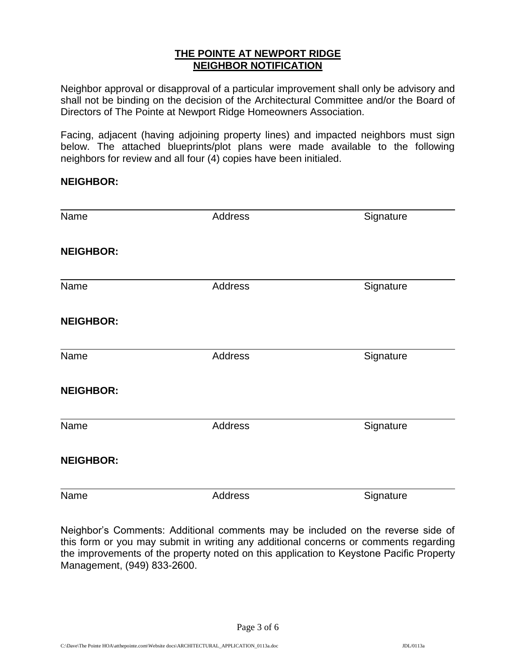#### **THE POINTE AT NEWPORT RIDGE NEIGHBOR NOTIFICATION**

Neighbor approval or disapproval of a particular improvement shall only be advisory and shall not be binding on the decision of the Architectural Committee and/or the Board of Directors of The Pointe at Newport Ridge Homeowners Association.

Facing, adjacent (having adjoining property lines) and impacted neighbors must sign below. The attached blueprints/plot plans were made available to the following neighbors for review and all four (4) copies have been initialed.

#### **NEIGHBOR:**

| Name             | Address | Signature |
|------------------|---------|-----------|
| <b>NEIGHBOR:</b> |         |           |
| Name             | Address | Signature |
| <b>NEIGHBOR:</b> |         |           |
| Name             | Address | Signature |
| <b>NEIGHBOR:</b> |         |           |
| Name             | Address | Signature |
| <b>NEIGHBOR:</b> |         |           |
| Name             | Address | Signature |

Neighbor's Comments: Additional comments may be included on the reverse side of this form or you may submit in writing any additional concerns or comments regarding the improvements of the property noted on this application to Keystone Pacific Property Management, (949) 833-2600.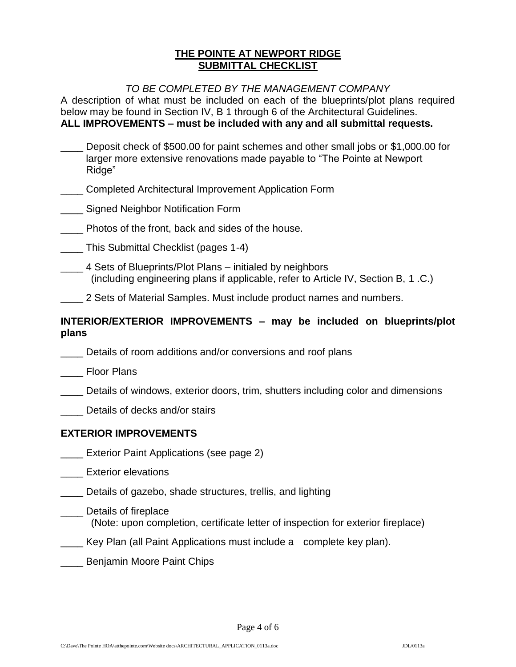#### **THE POINTE AT NEWPORT RIDGE SUBMITTAL CHECKLIST**

#### *TO BE COMPLETED BY THE MANAGEMENT COMPANY*

A description of what must be included on each of the blueprints/plot plans required below may be found in Section IV, B 1 through 6 of the Architectural Guidelines. **ALL IMPROVEMENTS – must be included with any and all submittal requests.** 

|       | Deposit check of \$500.00 for paint schemes and other small jobs or \$1,000.00 for<br>larger more extensive renovations made payable to "The Pointe at Newport<br>Ridge" |
|-------|--------------------------------------------------------------------------------------------------------------------------------------------------------------------------|
|       | Completed Architectural Improvement Application Form                                                                                                                     |
|       | Signed Neighbor Notification Form                                                                                                                                        |
|       | Photos of the front, back and sides of the house.                                                                                                                        |
|       | This Submittal Checklist (pages 1-4)                                                                                                                                     |
|       | 4 Sets of Blueprints/Plot Plans – initialed by neighbors<br>(including engineering plans if applicable, refer to Article IV, Section B, 1.C.)                            |
|       | 2 Sets of Material Samples. Must include product names and numbers.                                                                                                      |
| plans | INTERIOR/EXTERIOR IMPROVEMENTS - may be included on blueprints/plot                                                                                                      |
|       | Details of room additions and/or conversions and roof plans                                                                                                              |
|       | <b>Floor Plans</b>                                                                                                                                                       |
|       |                                                                                                                                                                          |

- \_\_\_\_ Details of windows, exterior doors, trim, shutters including color and dimensions
- Details of decks and/or stairs

#### **EXTERIOR IMPROVEMENTS**

- **Exterior Paint Applications (see page 2)**
- \_\_\_ Exterior elevations

\_\_\_\_ Details of gazebo, shade structures, trellis, and lighting

\_\_\_\_ Details of fireplace

(Note: upon completion, certificate letter of inspection for exterior fireplace)

- \_\_\_\_ Key Plan (all Paint Applications must include a complete key plan).
- \_\_\_\_ Benjamin Moore Paint Chips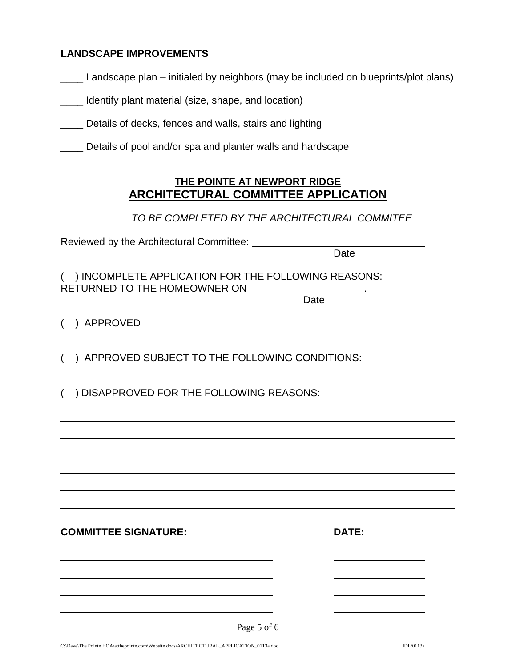#### **LANDSCAPE IMPROVEMENTS**

|  |  | _ Landscape plan – initialed by neighbors (may be included on blueprints/plot plans) |
|--|--|--------------------------------------------------------------------------------------|
|  |  |                                                                                      |

\_\_\_\_ Identify plant material (size, shape, and location)

- \_\_\_\_ Details of decks, fences and walls, stairs and lighting
- \_\_\_\_ Details of pool and/or spa and planter walls and hardscape

## **THE POINTE AT NEWPORT RIDGE ARCHITECTURAL COMMITTEE APPLICATION**

*TO BE COMPLETED BY THE ARCHITECTURAL COMMITEE* 

Reviewed by the Architectural Committee:

Date

( ) INCOMPLETE APPLICATION FOR THE FOLLOWING REASONS: RETURNED TO THE HOMEOWNER ON .

**Date** 

( ) APPROVED

( ) APPROVED SUBJECT TO THE FOLLOWING CONDITIONS:

( ) DISAPPROVED FOR THE FOLLOWING REASONS:

**COMMITTEE SIGNATURE:** 

| ۰, |
|----|
|----|

| Page 5 of 6 |  |  |  |
|-------------|--|--|--|
|-------------|--|--|--|